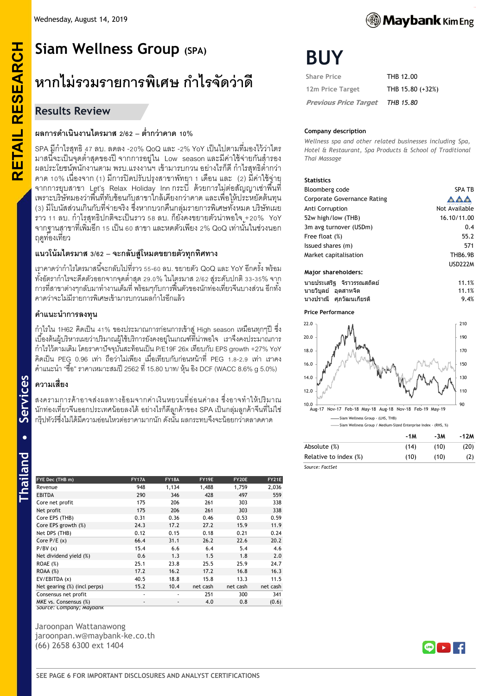# **Siam Wellness Group (SPA )**

# **หากไม่รวมรายการพิเศษ ก าไรจัดว่าดี**

# **Results Review**

**RETAIL RESEARCH**

**RETAIL RESEARCH** 

# ี ผลการดำเนินงานไตรมาส 2/62 – ต่ำกว่าคาด 10%

SPA มีกำไรสุทธิ 47 ลบ. ลดลง -20% QoQ และ -2% YoY เป็นไปตามที่มองไว้ว่าไตร ่ มาสนี้จะเป็นจุดต่ำสุดของปี จากการอยู่ใน Low season และมีค่าใช้จ่ายกันสำรอง ้ ผลประโยชน์พนักงานตาม พรบ.แรงงานฯ เข้ามารบกวน อย่างไรก็ดี กำไรสุทธิต่ำกว่า คำด 10 % เนื่องจำก (1) มีกำรปิ ดปรับปรุงสำขำพัทยำ 1 เดือน และ (2) มีค่ำใช้จ่ำย จากการยุบสาขา Let's Relax Holiday Innภระบี่ ด้วยการไม่ต่อสัญญาเช่าพื้นที่ เพรำะบริษัทมองว่ำพื ้นที่ทับซ้อนกับสำขำใกล้เคียงกว่ำคำด และเพื่อให้ประหยัดต้นทุน (3) มีโบนัสส่วนเกินกับที่จ่ายจริง ซึ่งหากบวกคืนกลุ่มรายการพิเศษทั้งหมด บริษัทเผย ราว 11 ลบ. กำไรสุทธิปกติจะเป็นราว 58 ลบ. ก็ยังคงขยายตัวน่าพอใจ +20% YoY ี จากฐานสาขาที่เพิ่มอีก 15 เป็น 60 สาขา และหดตัวเพียง 2% QoQ เท่านั้นในช่วงนอก ฤดูท่องเที่ยว

# **แนวโน้มไตรมาส 3/62 – จ ะ ก ลับ สู่ โห ม ด ข ย า ย ตัว ทุ ก ทิ ศ ท า ง**

เราคาดว่ากำไรไตรมาสนี้จะกลับไปที่ราว 55-60 ลบ. ขยายตัว QoQ และ YoY อีกครั้ง พร้อม ทั้งอัตฺรากำไรจะดีดตัวออกจากจุดต่ำสุด 29.0% ในไตรมาส 2/62 สู่ระดับปกติ 33-35% จาก ำการที่สาขาต่างๆกลับมาทำงานเต็มที่ พร้อมๆกับการฟื้นตัวของนักท่องเที่ยวจีนบางส่วน อีกทั้ง คำดว่ำจะไม่มีรำยกำรพิเศษเข้ำมำรบกวนผลก ำไรอีกแล้ว

#### **ค าแนะน าการลงทุน**

กำูไรใน 1H62 คิดเป็น 41% ของประมาณการก่อนการเข้าสู่ High season เหมือนทุกๆปี ซึ่ง เบื ้องต้นผู้บริหำรเผยว่ำปริมำณผู้ใช้บริกำรยังคงอยู่ในเกณฑ์ที่น่ำพอใจ เรำจึงคงประมำณกำร ก ำไรไว้ตำมเดิม โดยรำคำปัจจุบันสะท้อนเป็ น P/E19F 26x เทียบกับ EPS growth +27% YoY คิดเป็น PEG 0.96 เท่า ถือว่าไม่เพียง เมื่อเทียบกับก่อนหน้าที่ PEG 1.8-2.9 เท่า เราคง คำแนะนำ "ซื้อ" ราคาเหมาะสมปี 2562 ที่ 15.80 บาท/ หุ้น อิง DCF (WACC 8.6% g 5.0%)

# **ความเสี่ยง**

สงครามการค้าอาจส่งผลทางอ้อมจากค่าเงินหยวนที่อ่อนค่าลง ซึ่งอาจทำให้ปริมาณ ่ นักท่องเที่ยวจีนออกประเทศน้อยลงได้ อย่างไรก็ดีลูกค้าของ SPA เป็นกลุ่มลูกค้าจีนที่ไม่ใช่ ึกรีปทัวร์ซึ่งไม่ได้มีความอ่อนไหวต่อราคามากนัก ดังนั้น ผลกระทบจึงจะน้อยกว่าตลาดคาด

Services

| FYE Dec (THB m)              | <b>FY17A</b>             | <b>FY18A</b> | FY19E    | FY20E    | FY21E    |
|------------------------------|--------------------------|--------------|----------|----------|----------|
| Revenue                      | 948                      | 1,134        | 1,488    | 1,759    | 2,036    |
| <b>EBITDA</b>                | 290                      | 346          | 428      | 497      | 559      |
| Core net profit              | 175                      | 206          | 261      | 303      | 338      |
| Net profit                   | 175                      | 206          | 261      | 303      | 338      |
| Core EPS (THB)               | 0.31                     | 0.36         | 0.46     | 0.53     | 0.59     |
| Core EPS growth (%)          | 24.3                     | 17.2         | 27.2     | 15.9     | 11.9     |
| Net DPS (THB)                | 0.12                     | 0.15         | 0.18     | 0.21     | 0.24     |
| Core $P/E(x)$                | 66.4                     | 31.1         | 26.2     | 22.6     | 20.2     |
| P/BV(x)                      | 15.4                     | 6.6          | 6.4      | 5.4      | 4.6      |
| Net dividend yield (%)       | 0.6                      | 1.3          | 1.5      | 1.8      | 2.0      |
| ROAE $(\%)$                  | 25.1                     | 23.8         | 25.5     | 25.9     | 24.7     |
| ROAA(%)                      | 17.2                     | 16.2         | 17.2     | 16.8     | 16.3     |
| EV/EBITDA (x)                | 40.5                     | 18.8         | 15.8     | 13.3     | 11.5     |
| Net gearing (%) (incl perps) | 15.2                     | 10.4         | net cash | net cash | net cash |
| Consensus net profit         | ٠                        | ٠            | 251      | 300      | 341      |
| MKE vs. Consensus (%)        | $\overline{\phantom{a}}$ | ٠            | 4.0      | 0.8      | (0.6)    |
| Source: Lompany; Maybank     |                          |              |          |          |          |

Jaroonpan Wattanawong jaroonpan.w@maybank -ke.co.th (66) 2658 6300 ext 1404

| <b>Share Price</b>           | THB 12.00        |
|------------------------------|------------------|
| 12m Price Target             | THB 15.80 (+32%) |
| <b>Previous Price Target</b> | THB 15.80        |

#### **Company description**

*Wellness spa and other related businesses including Spa, Hotel & Restaurant, Spa Products & School of Traditional Thai Massage*

#### **Statistics**

| Bloomberg code                     | <b>SPA TB</b>  |
|------------------------------------|----------------|
| <b>Corporate Governance Rating</b> |                |
| Anti Corruption                    | Not Available  |
| 52w high/low (THB)                 | 16.10/11.00    |
| 3m avg turnover (USDm)             | 0.4            |
| Free float (%)                     | 55.2           |
| Issued shares (m)                  | 571            |
| Market capitalisation              | <b>THB6.9B</b> |
|                                    | <b>USD222M</b> |
| Major shareholders:                |                |
| งเวยงไรยเสริร จิราวรรถเสถิตย์      | 11 1%          |

|                     | ินายประเสริส จิราวรรณสถิตย์ | 11.1% |
|---------------------|-----------------------------|-------|
| ินายวิบลย์ อตสาหจิต |                             | 11.1% |
|                     | ี นางปราณี   ศภวัฒนเกียรติ  | 9.4%  |

**Price Performance**



|                       | -1M  | -3M  | -12M |
|-----------------------|------|------|------|
| Absolute (%)          | (14) | (10) | (20) |
| Relative to index (%) | (10) | (10) | (2)  |
| Source: EactSet       |      |      |      |



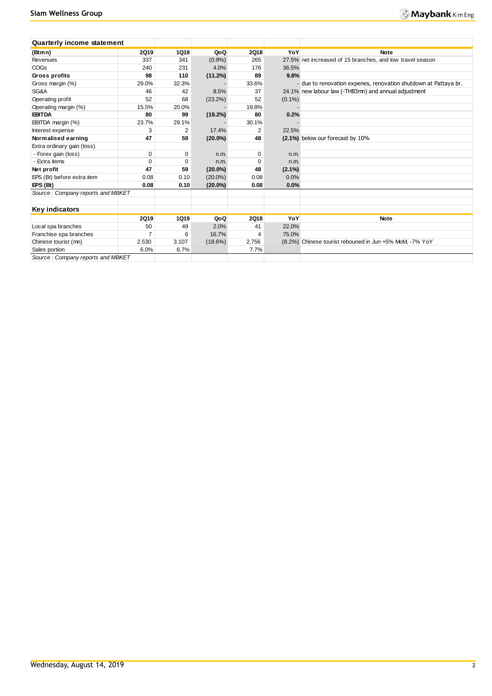| <b>Quarterly income statement</b> |                |             |            |             |           |                                                                 |
|-----------------------------------|----------------|-------------|------------|-------------|-----------|-----------------------------------------------------------------|
| (Btmn)                            | 2019           | <b>1Q19</b> | QoQ        | <b>2Q18</b> | YoY       | <b>Note</b>                                                     |
| Revenues                          | 337            | 341         | $(0.9\%)$  | 265         |           | 27.5% net increased of 15 branches, and low travel season       |
| <b>COGs</b>                       | 240            | 231         | 4.0%       | 176         | 36.5%     |                                                                 |
| <b>Gross profits</b>              | 98             | 110         | (11.2%)    | 89          | 9.8%      |                                                                 |
| Gross margin (%)                  | 29.0%          | 32.3%       |            | 33.6%       |           | - due to renovation expenes, renovation shutdown at Pattaya br. |
| SG&A                              | 46             | 42          | 8.5%       | 37          |           | 24.1% new labour law (-THB3mn) and annual adjustment            |
| Operating profit                  | 52             | 68          | (23.2%)    | 52          | $(0.1\%)$ |                                                                 |
| Operating margin (%)              | 15.5%          | 20.0%       |            | 19.8%       |           |                                                                 |
| <b>EBITDA</b>                     | 80             | 99          | $(19.2\%)$ | 80          | 0.2%      |                                                                 |
| EBITDA margin (%)                 | 23.7%          | 29.1%       |            | 30.1%       |           |                                                                 |
| Interest expense                  | 3              | 2           | 17.4%      | 2           | 22.5%     |                                                                 |
| Normalised earning                | 47             | 59          | $(20.0\%)$ | 48          |           | (2.1%) below our forecast by 10%                                |
| Extra ordinary gain (loss)        |                |             |            |             |           |                                                                 |
| - Forex gain (loss)               | 0              | 0           | n.m.       | 0           | n.m.      |                                                                 |
| Extra items                       | $\mathbf 0$    | 0           | n.m.       | 0           | n.m.      |                                                                 |
| Net profit                        | 47             | 59          | $(20.0\%)$ | 48          | $(2.1\%)$ |                                                                 |
| EPS (Bt) before extra item        | 0.08           | 0.10        | $(20.0\%)$ | 0.08        | 0.0%      |                                                                 |
| EPS (Bt)                          | 0.08           | 0.10        | $(20.0\%)$ | 0.08        | 0.0%      |                                                                 |
| Source: Company reports and MBKET |                |             |            |             |           |                                                                 |
|                                   |                |             |            |             |           |                                                                 |
| Key indicators                    |                |             |            |             |           |                                                                 |
|                                   | 2019           | <b>1Q19</b> | QoQ        | <b>2Q18</b> | YoY       | <b>Note</b>                                                     |
| Local spa branches                | 50             | 49          | 2.0%       | 41          | 22.0%     |                                                                 |
| Franchise spa branches            | $\overline{7}$ | 6           | 16.7%      | 4           | 75.0%     |                                                                 |
| Chinese tourist (mn)              | 2.530          | 3.107       | $(18.6\%)$ | 2.756       |           | (8.2%) Chinese tourist rebouned in Jun +5% MoM, -7% YoY         |
| Sales portion                     | 6.0%           | 6.7%        |            | 7.7%        |           |                                                                 |
| Source: Company reports and MBKET |                |             |            |             |           |                                                                 |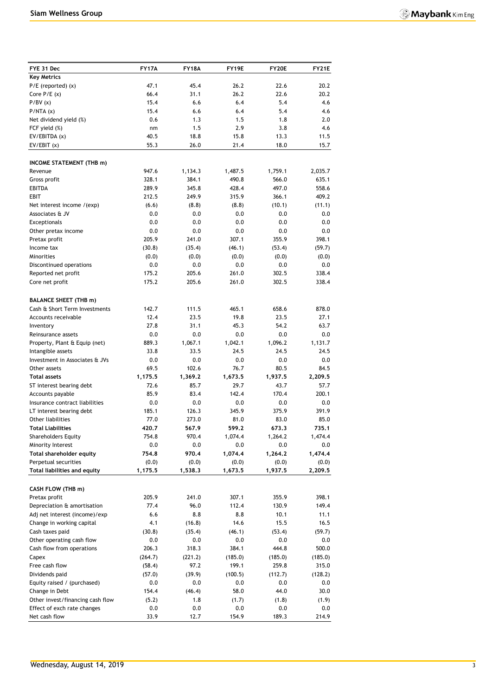| FYE 31 Dec                                          | <b>FY17A</b>  | <b>FY18A</b> | FY19E          | <b>FY20E</b>   | <b>FY21E</b>   |
|-----------------------------------------------------|---------------|--------------|----------------|----------------|----------------|
| <b>Key Metrics</b>                                  |               |              |                |                |                |
| $P/E$ (reported) $(x)$                              | 47.1          | 45.4         | 26.2           | 22.6           | 20.2           |
| Core $P/E(x)$                                       | 66.4          | 31.1         | 26.2           | 22.6           | 20.2           |
| P/BV(x)                                             | 15.4          | 6.6          | 6.4            | 5.4            | 4.6            |
| P/NTA(x)                                            | 15.4          | 6.6          | 6.4            | 5.4            | 4.6            |
| Net dividend yield (%)                              | 0.6           | 1.3          | 1.5            | 1.8            | 2.0            |
| FCF yield (%)                                       | nm            | 1.5          | 2.9            | 3.8            | 4.6            |
| EV/EBITDA (x)                                       | 40.5          | 18.8         | 15.8           | 13.3           | 11.5           |
| EV/EBIT(x)                                          | 55.3          | 26.0         | 21.4           | 18.0           | 15.7           |
|                                                     |               |              |                |                |                |
| <b>INCOME STATEMENT (THB m)</b><br>Revenue          | 947.6         | 1,134.3      | 1,487.5        | 1,759.1        | 2,035.7        |
| Gross profit                                        | 328.1         | 384.1        | 490.8          | 566.0          | 635.1          |
| <b>EBITDA</b>                                       | 289.9         | 345.8        | 428.4          | 497.0          | 558.6          |
| EBIT                                                | 212.5         | 249.9        | 315.9          | 366.1          | 409.2          |
| Net interest income /(exp)                          | (6.6)         | (8.8)        | (8.8)          | (10.1)         | (11.1)         |
| Associates & JV                                     | 0.0           | 0.0          | 0.0            | 0.0            | 0.0            |
| <b>Exceptionals</b>                                 | 0.0           | 0.0          | 0.0            | 0.0            | 0.0            |
| Other pretax income                                 | 0.0           | 0.0          | 0.0            | 0.0            | 0.0            |
| Pretax profit                                       | 205.9         | 241.0        | 307.1          | 355.9          | 398.1          |
| Income tax                                          | (30.8)        | (35.4)       | (46.1)         | (53.4)         | (59.7)         |
| <b>Minorities</b>                                   | (0.0)         | (0.0)        | (0.0)          | (0.0)          | (0.0)          |
| Discontinued operations                             | 0.0           | 0.0          | 0.0            | 0.0            | 0.0            |
| Reported net profit                                 | 175.2         | 205.6        | 261.0          | 302.5          | 338.4          |
| Core net profit                                     | 175.2         | 205.6        | 261.0          | 302.5          | 338.4          |
|                                                     |               |              |                |                |                |
| <b>BALANCE SHEET (THB m)</b>                        |               |              |                |                |                |
| Cash & Short Term Investments                       | 142.7         | 111.5        | 465.1          | 658.6          | 878.0          |
| Accounts receivable                                 | 12.4          | 23.5         | 19.8           | 23.5           | 27.1           |
| Inventory                                           | 27.8          | 31.1         | 45.3           | 54.2           | 63.7           |
| Reinsurance assets                                  | 0.0           | 0.0          | 0.0            | 0.0            | 0.0            |
| Property, Plant & Equip (net)                       | 889.3         | 1,067.1      | 1,042.1        | 1,096.2        | 1,131.7        |
| Intangible assets<br>Investment in Associates & JVs | 33.8<br>0.0   | 33.5<br>0.0  | 24.5<br>0.0    | 24.5<br>0.0    | 24.5<br>0.0    |
| Other assets                                        | 69.5          | 102.6        | 76.7           | 80.5           | 84.5           |
| <b>Total assets</b>                                 | 1,175.5       | 1,369.2      | 1,673.5        | 1,937.5        | 2,209.5        |
| ST interest bearing debt                            | 72.6          | 85.7         | 29.7           | 43.7           | 57.7           |
| Accounts payable                                    | 85.9          | 83.4         | 142.4          | 170.4          | 200.1          |
| Insurance contract liabilities                      | 0.0           | 0.0          | 0.0            | 0.0            | 0.0            |
| LT interest bearing debt                            | 185.1         | 126.3        | 345.9          | 375.9          | 391.9          |
| Other liabilities                                   | 77.0          | 273.0        | 81.0           | 83.0           | 85.0           |
| Total Liabilities                                   | 420.7         | 567.9        | 599.2          | 673.3          | 735.1          |
| <b>Shareholders Equity</b>                          | 754.8         | 970.4        | 1,074.4        | 1,264.2        | 1,474.4        |
| Minority Interest                                   | $0.0\,$       | 0.0          | 0.0            | 0.0            | 0.0            |
| Total shareholder equity                            | 754.8         | 970.4        | 1,074.4        | 1,264.2        | 1,474.4        |
| Perpetual securities                                | (0.0)         | (0.0)        | (0.0)          | (0.0)          | (0.0)          |
| Total liabilities and equity                        | 1,175.5       | 1,538.3      | 1,673.5        | 1,937.5        | 2,209.5        |
|                                                     |               |              |                |                |                |
| CASH FLOW (THB m)                                   |               |              |                |                |                |
| Pretax profit<br>Depreciation & amortisation        | 205.9<br>77.4 | 241.0        | 307.1<br>112.4 | 355.9<br>130.9 | 398.1<br>149.4 |
| Adj net interest (income)/exp                       | 6.6           | 96.0<br>8.8  | 8.8            | 10.1           | 11.1           |
| Change in working capital                           | 4.1           | (16.8)       | 14.6           | 15.5           | 16.5           |
| Cash taxes paid                                     | (30.8)        | (35.4)       | (46.1)         | (53.4)         | (59.7)         |
| Other operating cash flow                           | 0.0           | 0.0          | 0.0            | 0.0            | 0.0            |
| Cash flow from operations                           | 206.3         | 318.3        | 384.1          | 444.8          | 500.0          |
| Capex                                               | (264.7)       | (221.2)      | (185.0)        | (185.0)        | (185.0)        |
| Free cash flow                                      | (58.4)        | 97.2         | 199.1          | 259.8          | 315.0          |
| Dividends paid                                      | (57.0)        | (39.9)       | (100.5)        | (112.7)        | (128.2)        |
| Equity raised / (purchased)                         | 0.0           | 0.0          | 0.0            | 0.0            | 0.0            |
| Change in Debt                                      | 154.4         | (46.4)       | 58.0           | 44.0           | 30.0           |
| Other invest/financing cash flow                    | (5.2)         | 1.8          | (1.7)          | (1.8)          | (1.9)          |
| Effect of exch rate changes                         | 0.0           | 0.0          | 0.0            | 0.0            | 0.0            |
| Net cash flow                                       | 33.9          | 12.7         | 154.9          | 189.3          | 214.9          |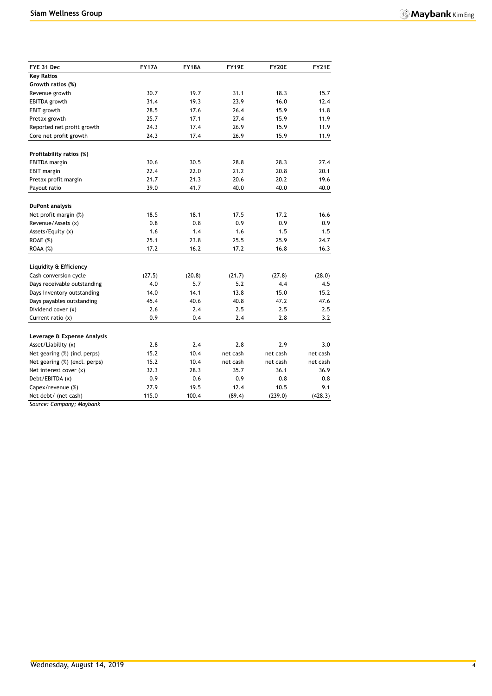| FYE 31 Dec                    | <b>FY17A</b> | <b>FY18A</b> | FY19E    | FY20E    | FY21E    |
|-------------------------------|--------------|--------------|----------|----------|----------|
| <b>Key Ratios</b>             |              |              |          |          |          |
| Growth ratios (%)             |              |              |          |          |          |
| Revenue growth                | 30.7         | 19.7         | 31.1     | 18.3     | 15.7     |
| <b>EBITDA</b> growth          | 31.4         | 19.3         | 23.9     | 16.0     | 12.4     |
| EBIT growth                   | 28.5         | 17.6         | 26.4     | 15.9     | 11.8     |
| Pretax growth                 | 25.7         | 17.1         | 27.4     | 15.9     | 11.9     |
| Reported net profit growth    | 24.3         | 17.4         | 26.9     | 15.9     | 11.9     |
| Core net profit growth        | 24.3         | 17.4         | 26.9     | 15.9     | 11.9     |
|                               |              |              |          |          |          |
| Profitability ratios (%)      |              |              |          |          |          |
| <b>EBITDA</b> margin          | 30.6         | 30.5         | 28.8     | 28.3     | 27.4     |
| <b>EBIT</b> margin            | 22.4         | 22.0         | 21.2     | 20.8     | 20.1     |
| Pretax profit margin          | 21.7         | 21.3         | 20.6     | 20.2     | 19.6     |
| Payout ratio                  | 39.0         | 41.7         | 40.0     | 40.0     | 40.0     |
| <b>DuPont analysis</b>        |              |              |          |          |          |
| Net profit margin (%)         | 18.5         | 18.1         | 17.5     | 17.2     | 16.6     |
| Revenue/Assets (x)            | 0.8          | 0.8          | 0.9      | 0.9      | 0.9      |
| Assets/Equity (x)             | 1.6          | 1.4          | 1.6      | 1.5      | 1.5      |
| ROAE (%)                      | 25.1         | 23.8         | 25.5     | 25.9     | 24.7     |
| ROAA (%)                      | 17.2         | 16.2         | 17.2     | 16.8     | 16.3     |
|                               |              |              |          |          |          |
| Liquidity & Efficiency        |              |              |          |          |          |
| Cash conversion cycle         | (27.5)       | (20.8)       | (21.7)   | (27.8)   | (28.0)   |
| Days receivable outstanding   | 4.0          | 5.7          | 5.2      | 4.4      | 4.5      |
| Days inventory outstanding    | 14.0         | 14.1         | 13.8     | 15.0     | 15.2     |
| Days payables outstanding     | 45.4         | 40.6         | 40.8     | 47.2     | 47.6     |
| Dividend cover (x)            | 2.6          | 2.4          | 2.5      | 2.5      | 2.5      |
| Current ratio (x)             | 0.9          | 0.4          | 2.4      | 2.8      | 3.2      |
| Leverage & Expense Analysis   |              |              |          |          |          |
| Asset/Liability (x)           | 2.8          | 2.4          | 2.8      | 2.9      | 3.0      |
| Net gearing (%) (incl perps)  | 15.2         | 10.4         | net cash | net cash | net cash |
| Net gearing (%) (excl. perps) | 15.2         | 10.4         | net cash | net cash | net cash |
| Net interest cover (x)        | 32.3         | 28.3         | 35.7     | 36.1     | 36.9     |
| Debt/EBITDA (x)               | 0.9          | 0.6          | 0.9      | 0.8      | 0.8      |
| Capex/revenue (%)             | 27.9         | 19.5         | 12.4     | 10.5     | 9.1      |
| Net debt/ (net cash)          | 115.0        | 100.4        | (89.4)   | (239.0)  | (428.3)  |

*Source: Company; Maybank*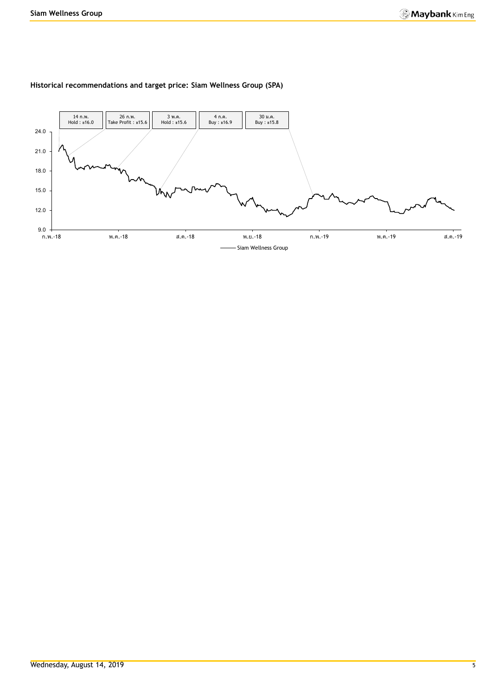

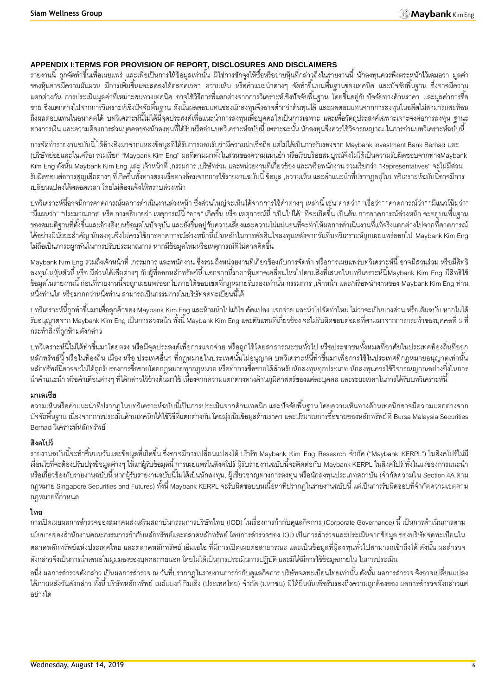#### **APPENDIX I:TERMS FOR PROVISION OF REPORT, DISCLOSURES AND DISCLAIMERS**

้ รายงานนี้ ถูกจัดทำขึ้นเพื่อเผยแพร่ และเพื่อเป็นการให้ข้อมูลเท่านั้น มิใช่การชักจูงให้ซื้อหรือขายหุ้นที่กล่าวถึงในรายงานนี้ นักลงทุนควรพึงตระหนักไว้เสมอว่า มูลค่า ี ของหุ้นอาจมีความผันผวน มีการเพิ่มขึ้นและลดลงได้ตลอดเวลา ความเห็น หรือคำแนะนำต่างๆ จัดทำขึ้นบนพื้นฐานของเทคนิค และปัจจัยพื้นฐาน ซึ่งอาจมีความ ้ แตกต่างกัน การประเมินมูลค่าที่เหมาะสมทางเทคนิค อาจใช้วิธีการที่แตกต่างจากการวิเคราะห์เชิงปัจจัยพื้นฐาน โดยขึ้นอยู่กับปัจจัยทางด้านราคา และมูลค่าการซื้อ ่ ขาย ซึ่งแตกต่างไปจากการวิเคราะห์เชิงปัจจัยพื้นฐาน ดังนั้นผลตอบแทนของนักลงทุนจึงอาจต่ำกว่าต้นทุนได้ และผลตอบแทนจากการลงทุนในอดีตไม่สามารถสะท้อน ถึงผลตอบแทนในอนาคตได้ บทวิเคราะห์นี้ไม่ได้มีจุดประสงค์เพื่อแนะนำการลงทุนเพื่อบุคคลใดเป็นการเฉพาะ และเพื่อวัตถุประสงค์เฉพาะเจาะจงต่อการลงทุน ฐานะ ้ทางการเงิน และความต้องการส่วนบุคคลของนักลงทุนที่ได้รับหรืออ่านบทวิเคราะห์ฉบับนี้ เพราะฉะนั้น นักลงทุนจึงควรใช้วิจารณญาณ ในการอ่านบทวิเคราะห์ฉบับนี้

การจัดท ารายงานฉบับนี ้ได้อ้างอิงมาจากแหล่งข้อมูลที่ได้รับการยอมรับว่ามีความน่าเชื่อถือแต่ไม่ได้เป็ นการรับรองจาก Maybank Investment Bank Berhad และ (บริษัทย่อยและในเครือ) รวมเรียก "Maybank Kim Eng" ผลที่ตามมาทั้งในส่วนของความแม่นยำ หรือเรียบร้อยสมบูรณ์จึงไม่ได้เป็นความรับผิดชอบจากทางMaybank Kim Eng ดังนั้น Maybank Kim Eng และ เจ้าหน้าที่ ,กรรมการ ,บริษัทร่วม และหน่วยงานที่เกี่ยวข้อง และ/หรือพนักงาน รวมเรียกว่า "Representatives" จะไม่มีส่วน รับผิดชอบต่อการสูญเสียต่างๆ ที่เกิดขึ้นทั้งทางตรงหรือทางอ้อมจากการใช้รายงานฉบับนี้ ข้อมูล ,ความเห็น และคำแนะนำที่ปรากฦอยู่ในบทวิเคราะห์ฉบับนี้อาจมีการ เปลี่ยนแปลงได้ตลอดเวลา โดยไม่ต้องแจ้งให้ทราบล่วงหน้า

้บทวิเคราะห์นี้อาจมีการคาดการณ์ผลการดำเนินงานล่วงหน้า ซึ่งส่วนใหญ่จะเห็นได้จากการใช้คำต่างๆ เหล่านี้ เช่น"คาดว่า" "เชื่อว่า" "คาดการณ์ว่า" "มีแนวโน้มว่า" "มีแผนว่า" "ประมาณการ" หรือ การอธิบายว่า เหตุการณ์นี้ "อาจ" เกิดขึ้น หรือ เหตุการณ์นี้ "เป็นไปได้" ที่จะเกิดขึ้น เป็นต้น การคาดการณ์ล่วงหน้า จะอยู่บนพื้นฐาน ของสมมติฐานที่ตั้งขึ้นและอ้างอิงบนข้อมูลในปัจจุบัน และยังขึ้นอยู่กับความเสี่ยงและความไม่แน่นอนที่จะทำให้ผลการดำเนินงานที่แท้จริงแตกต่างไปจากที่คาดการณ์ ี ได้อย่างมีนัยยะสำคัญ นักลงทุนจึงไม่ควรใช้การคาดการณ์ล่วงหน้านี้เป็นหลักในการตัดสินใจลงทุนหลังจากวันที่บทวิเคราะห์ถูกเผยแพร่ออกไป Maybank Kim Eng ไม่ถือเป็นภาระผูกพันในการปรับประมาณการ หากมีข้อมูลใหม่หรือเหตุการณ์ที่ไม่คาดคิดขึ้น

. Maybank Kim Eng รวมถึงเจ้าหน้าที่ ,กรรมการ และพนักงาน ซึ่งรวมถึงหน่วยงานที่เกี่ยวข้องกับการจัดทำ หรือการเผยแพร่บทวิเคราะห์นี้ อาจมีส่วนร่วม หรือมีสิทธิ ิ ลงทุนในหุ้นตัวนี้ หรือ มีส่วนได้เสียต่างๆ กับผู้ที่ออกหลักทรัพย์นี้ นอกจากนี้ราคาหุ้นอาจเคลื่อนไหวไปตามสิ่งที่เสนอในบทวิเคราะห์นี้Maybank Kim Eng มีสิทธิใช้ -ข้อมูลในรายงานนี้ ก่อนที่รายงานนี้จะถูกเผยแพร่ออกไปภายใต้ขอบเขตที่กฎหมายรับรองเท่านั้น กรรมการ ,เจ้าหน้า และ/หรือพนักงานของ Maybank Kim Eng ท่าน หนึ่งท่านใด หรือมากกว่าหนึ่งท่าน สามารถเป็นกรรมการในบริษัทจดทะเบียนนี้ได้

ี บทวิเคราะห์นี้ถูกทำขึ้นมาเพื่อลูกค้าของ Maybank Kim Eng และห้ามนำไปแก้ไข ดัดแปลง แจกจ่าย และนำไปจัดทำใหม่ ไม่ว่าจะเป็นบางส่วน หรือเต็มฉบับ หากไม่ได้ รับอนุญาตจาก Maybank Kim Eng เป็นการล่วงหน้า ทั้งนี้ Maybank Kim Eng และตัวแทนที่เกี่ยวข้อง จะไม่รับผิดชอบต่อผลที่ตามมาจากการกระทำของบุคคลที่ 3 ที่ กระท าสิ่งที่ถูกห้ามดังกล่าว

บทวิเคราะห์นี้ไม่ได้ทำขึ้นมาโดยตรง หรือมีจุดประสงค์เพื่อการแจกจ่าย หรือถูกใช้โดยสาธารณะชนทั่วไป หรือประชาชนทั้งหมดที่อาศัยในประเทศท้องถิ่นที่ออก ่ หลักทรัพย์นี้ หรือในท้องถิ่น เมือง หรือ ประเทศอื่นๆ ที่กฎหมายในประเทศนั้นไม่อนุญาต บทวิเคราะห์นี้ทำขึ้นมาเพื่อการใช้ในประเทศที่กฎหมายอนุญาตเท่านั้น หลักทรัพย์นี้อาจจะไม่ได้ถูกรับรองการซื้อขายโดยกฎหมายทุกกฎหมาย หรือทำการซื้อขายได้สำหรับนักลงทุนทุกประเภท นักลงทุนควรใช้วิจารณญาณอย่างยิ่งในการ นำคำแนะนำ หรือคำเตือนต่างๆ ที่ได้กล่าวไว้ข้างต้นมาใช้ เนื่องจากความแตกต่างทางด้านภูมิศาสตร์ของแต่ละบุคคล และระยะเวลาในการได้รับบทวิเคราะห์นี้

#### **มาเลเซีย**

้ ความเห็นหรือคำแนะนำที่ปรากฏในบทวิเคราะห์ฉบับนี้เป็นการประเมินจากด้านเทคนิก และปัจจัยพื้นฐาน โดยความเห็นทางด้านเทคนิกอาจมีความแตกต่างจาก -ปัจจัยพื้นฐาน เนื่องจากการประเมินด้านเทคนิกได้ใช้วิธีที่แตกต่างกัน โดยมุ่งเน้นข้อมูลด้านราคา และปริมาณการซื้อขายของหลักทรัพย์ที่ Bursa Malaysia Securities Berhad วิเคราะห์หลักทรัพย์

#### **สิงคโปร์**

ิ รายงานฉบับนี้จะทำขึ้นบนวันและข้อมูลที่เกิดขึ้น ซึ่งอาจมีการเปลี่ยนแปลงได้ บริษัท Maybank Kim Eng Research จำกัด ("Maybank KERPL") ในสิงคโปร์ไม่มี เงื่อนไขที่จะต้องปรับปรุงข้อมูลต่างๆ ให้แก่ผู้รับข้อมูลนี้ การเผยแพร่ในสิงคโปร์ ผู้รับรายงานฉบับนี้จะติดต่อกับ Maybank KERPL ในสิงคโปร์ ทั้งในแง่ของการแนะนำ หรือเกี่ยวข้องกับรายงานฉบับนี้ หากผู้รับรายงานฉบับนี้ไม่ได้เป็นนักลงทุน, ผู้เชี่ยวชาญทางการลงทุน หรือนักลงทุนประเภทสถาบัน (จำกัดความใน Section 4A ตาม ึ กฎหมาย Singapore Securities and Futures) ทั้งนี้ Maybank KERPL จะรับผิดชอบบนเนื้อหาที่ปรากฏในรายงานฉบับนี้ แต่เป็นการรับผิดชอบที่จำกัดความเขตตาม ึกภหมายที่กำหน*ด* 

#### **ไทย**

การเปิดเผยผลการสำรวจของสมาคมส่งเสริมสถาบันกรรมการบริษัทไทย (IOD) ในเรื่องการกำกับดูแลกิจการ (Corporate Governance) นี้ เป็นการดำเนินการตาม นโยบายของสำนักงานคณะกรรมการกำกับหลักทรัพย์และตลาดหลักทรัพย์ โดยการสำรวจของ IOD เป็นการสำรวจและประเมินจากข้อมูล ของบริษัทจดทะเบียนใน ้ตลาดหลักทรัพย์แห่งประเทศไทย และตลาดหลักทรัพย์ เอ็มเอไอ ที่มีการเปิดเผยต่อสาธารณะ และเป็นข้อมูลที่ผู้ลงทุนทั่วไปสามารถเข้าถึงได้ ดังนั้น ผลสำรวจ ดังกล่าวจึงเป็นการนำเสนอในมุมมองของบุคคลภายนอก โดยไม่ได้เป็นการประเมินการปฏิบัติ และมิได้มีการใช้ข้อมูลภายใน ในการประเมิน

่ อนึ่ง ผลการสำรวจดังกล่าว เป็นผลการสำรวจ ณ วันที่ปรากกฎในรายงานการกำกับดูแลกิจการ บริษัทจดทะเบียนไทยเท่านั้น ดังนั้น ผลการสำรวจ จึงอาจเปลี่ยนแปลง ได้ภายหลังวันดังกล่าว ทั้งนี้ บริษัทหลักทรัพย์ เมย์แบงก์ กิมเอ็ง (ประเทศไทย) จำกัด (มหาชน) มิได้ยืนยันหรือรับรองถึงความถูกต้องของ ผลการสำรวจดังกล่าวแต่ อย่างใด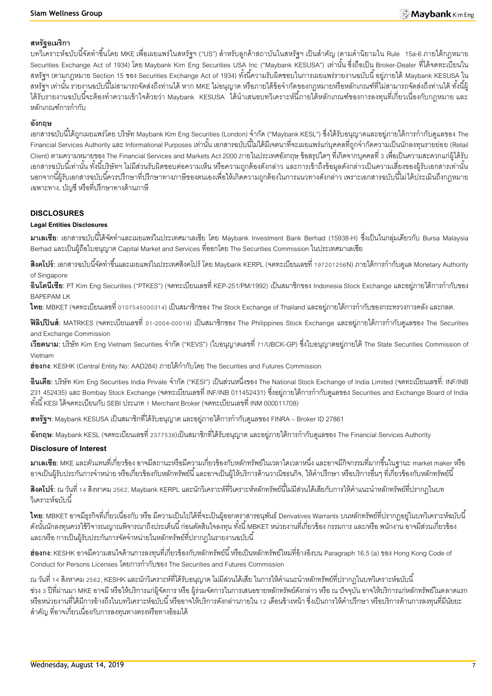#### **สหรัฐอเมริกา**

ี บทวิเคราะห์ฉบับนี้จัดทำขึ้นโดย MKE เพื่อเผยแพร่ในสหรัฐฯ ("US") สำหรับลูกค้าสถาบันในสหรัฐฯ เป็นสำคัญ (ตามคำนิยามใน Rule 15a-6 ภายใต้กฎหมาย Securities Exchange Act of 1934) โดย Maybank Kim Eng Securities USA Inc ("Maybank KESUSA") เท่านั้น ซึ่งถือเป็น Broker-Dealer ที่ได้จดทะเบียนใน สหรัฐฯ (ตามกฎหมาย Section 15 ของ Securities Exchange Act of 1934) ทั้งนี้ความรับผิดชอบในการเผยแพร่รายงานฉบับนี้ อยู่ภายใต้ Maybank KESUSA ใน ี สหรัฐฯ เท่านั้น รายงานฉบับนี้ไม่สามารถจัดส่งถึงท่านได้ หาก MKE ไม่อนุญาต หรือภายใต้ข้อจำกัดของกฎหมายหรือหลักเกณฑ์ที่ไม่สามารถจัดส่งถึงท่านได้ ทั้งนี้ผู้ ได้รับรายงานฉบับนี้จะต้องทำความเข้าใจด้วยว่า Maybank KESUSA ได้นำเสนอบทวิเคราะห์นี้ภายใต้หลักเกณฑ์ของการลงทุนที่เกี่ยวเนื่องกับกฎหมาย และ หลักเกณฑ์การกำกับ

#### **อังกฤษ**

ี เอกสารฉบับนี้ได้ถูกเผยแพร่โดย บริษัท Maybank Kim Eng Securities (London) จำกัด ("Maybank KESL") ซึ่งได้รับอนุญาตและอยู่ภายใต้การกำกับดูแลของ The -Financial Services Authority และ Informational Purposes เท่านั้น เอกสารฉบับนี้ไม่ได้มีเจตนาที่จะเผยแพร่แก่บุคคลที่ถูกจำกัดความเป็นนักลงทุนรายย่อย (Retail Client) ตามความหมายของ The Financial Services and Markets Act 2000 ภายในประเทศอังกฤษ ข้อสรุปใดๆ ที่เกิดจากบุคคลที่ 3 เพื่อเป็ นความสะดวกแก่ผู้ได้รับ ้เอกสารฉบับนี้เท่านั้น ทั้งนี้บริษัทฯ ไม่มีส่วนรับผิดชอบต่อความเห็น หรือความถูกต้องดังกล่าว และการเข้าถึงข้อมูลดังกล่าวเป็นความเสี่ยงของผู้รับเอกสารเท่านั้น ้นอกจากนี้ผ้รับเอกสารฉบับนี้ควรปรึกษาที่ปรึกษาทางภาษีของตนเองเพื่อให้เกิดความถูกต้องในการแนวทางดังกล่าว เพราะเอกสารฉบับนี้ไม่ได้ประเมินถึงกฎหมาย เฉพาะทาง, บัญชี หรือที่ปรึกษาทางด้านภาษี

#### **DISCLOSURES**

#### **Legal Entities Disclosures**

**ิมาเลเซีย**: เอกสารฉบับนี้ได้จัดทำและเผยแพร่ในประเทศมาเลเซีย โดย Maybank Investment Bank Berhad (15938-H) ซึ่งเป็นในกลุ่มเดียวกับ Bursa Malaysia Berhad และเป็ นผู้ถือใบอนุญาต Capital Market and Services ที่ออกโดย The Securities Commission ในประเทศมาเลเซีย

**ี <b>สิงคโปร์**: เอกสารฉบับนี้จัดทำขึ้นและเผยแพร่ในประเทศสิงคโปร์ โดย Maybank KERPL (จดทะเบียนเลขที่ 197201256N) ภายใต้การกำกับดูแล Monetary Authority of Singapore

**้อินโดนีเซีย**: PT Kim Eng Securities ("PTKES") (จดทะเบียนเลขที่ KEP-251/PM/1992) เป็นสมาชิกของ Indonesia Stock Exchange และอย่ภายใต้การกำกับของ BAPEPAM LK

**ไทย**: MBKET (จดทะเบียนเลขที่ 0107545000314) เป็นสมาชิกของ The Stock Exchange of Thailand และอยู่ภายใต้การกำกับของกระทรวงการคลัง และกลต.

**ฟิลิปปินส์**: MATRKES (จดทะเบียนเลขที่ 01-2004-00019) เป็นสมาชิกของ The Philippines Stock Exchange และอยู่ภายใต้การกำกับดูแลของ The Securities and Exchange Commission

**เวียดนาม**: บริษัท Kim Eng Vietnam Securities จำกัด ("KEVS") (ใบอนุญาตเลขที่ 71/UBCK-GP) ซึ่งใบอนุญาตอยู่ภายใต้ The State Securities Commission of Vietnam

ี**ฮ่องกง**: KESHK (Central Entity No: AAD284) ภายใต้กำกับโดย The Securities and Futures Commission

**้อินเดีย**: บริษัท Kim Eng Securities India Private จำกัด ("KESI") เป็นส่วนหนึ่งของ The National Stock Exchange of India Limited (จดทะเบียนเลขที่: INF/INB ่ 231 452435) และ Bombay Stock Exchange (จดทะเบียนเลขที่ INF/INB 011452431) ซึ่งอยู่ภายใต้การกำกับดูแลของ Securities and Exchange Board of India ทั ้งนี ้ KESI ได้จดทะเบียนกับ SEBI ประเภท 1 Merchant Broker (จดทะเบียนเลขที่ INM 000011708)

**ิสหรัฐฯ:** Maybank KESUSA เป็นสมาชิกที่ได้รับอนุญาต และอยู่ภายใต้การกำกับดูแลของ FINRA – Broker ID 27861

**อังกฤษ**: Maybank KESL (จดทะเบียนเลขที่ 2377538)เป็นสมาชิกที่ได้รับอนุญาต และอยู่ภายใต้การกำกับดูแลของ The Financial Services Authority

#### **Disclosure of Interest**

**มาเลเซีย:** MKE และตัวแทนที่เกี่ยวข้อง อาจมีสถานะหรือมีความเกี่ยวข้องกับหลักทรัพย์ในเวลาใดเวลาหนึ่ง และอาจมีกิจกรรมที่มากขึ ้นในฐานะ market maker หรือ ่ อาจเป็นผู้รับประกันการจำหน่าย หรือเกี่ยวข้องกับหลักทรัพย์นี้ และอาจเป็นผู้ให้บริการด้านวาณิชธนกิจ, ให้คำปรึกษา หรือบริการอื่นๆ ที่เกี่ยวข้องกับหลักทรัพย์นี้

**ี <b>สิงคโปร์**: ณ วันที่ 14 สิงหาคม 2562, Maybank KERPL และนักวิเคราะห์ที่วิเคราะห์หลักทรัพย์นี้ไม่มีส่วนได้เสียกับการให้คำแนะนำหลักทรัพย์ที่ปรากฏในบท .<br>วิเคราะห์ล<sub>บับ</sub>นี้

**ไทย**: MBKET อาจมีธุรกิจที่เกี่ยวเนื่องกับ หรือ มีความเป็นไปได้ที่จะเป็นผู้ออกตราสารอนุพันธ์ Derivatives Warrants บนหลักทรัพย์ที่ปรากฎอยู่ในบทวิเคราะห์ฉบับนี้ ดังนั้นนักลงทุนควรใช้วิจารณญาณพิจารณาถึงประเด็นนี้ ก่อนตัดสินใจลงทุน ทั้งนี้ MBKET หน่วยงานที่เกี่ยวข้อง กรรมการ และ/หรือ พนักงาน อาจมีส่วนเกี่ยวข้อง และ/หรือ การเป็นผู้รับประกันการจัดจำหน่ายในหลักทรัพย์ที่ปรากฏในรายงานฉบับนี้

**ฮ่องกง:** KESHK อาจมีความสนใจด้านการลงทุนที่เกี่ยวข้องกับหลักทรัพย์นี้ หรือเป็นหลักทรัพย์ใหม่ที่อ้างอิงบน Paragraph 16.5 (a) ของ Hong Kong Code of Conduct for Persons Licenses โดยการกำกับของ The Securities and Futures Commission

ณ วันที่ 14 สิงหาคม 2562, KESHK และนักวิเคราะห์ที่ได้รับอนุญาต ไม่มีส่วนได้เสีย ในการให้คำแนะนำหลักทรัพย์ที่ปรากฏในบทวิเคราะห์ฉบับนี้ ี ช่วง 3 ปีที่ผ่านมา MKE อาจมี หรือให้บริการแก่ผู้จัดการ หรือ ผู้ร่วมจัดการในการเสนอขายหลักทรัพย์ดังกล่าว หรือ ณ ปัจจุบัน อาจให้บริการแก่หลักทรัพย์ในตลาดแรก หรือหน่วยงานที่ได้มีการอ้างถึงในบทวิเคราะห์ฉบับนี้ หรืออาจให้บริการดังกล่าวภายใน 12 เดือนข้างหน้า ซึ่งเป็นการให้คำปรึกษา หรือบริการด้านการลงทุนที่มีนัยยะ ส าคัญ ที่อาจเกี่ยวเนื่องกับการลงทุนทางตรงหรือทางอ้อมได้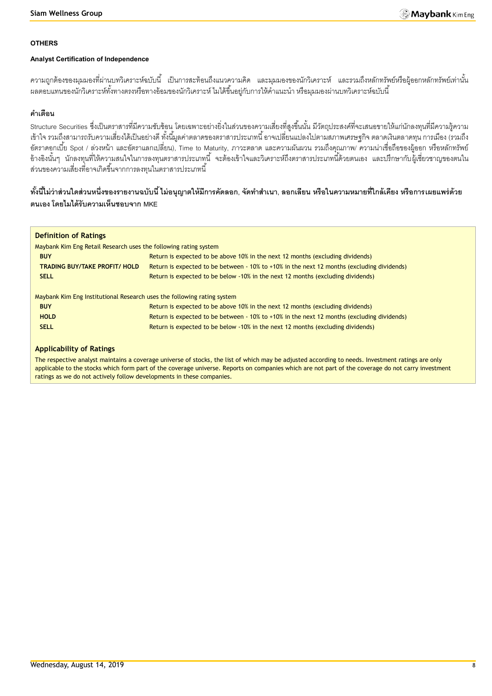# **OTHERS**

# **Analyst Certification of Independence**

้ความถูกต้องของมุมมองที่ผ่านบทวิเคราะห์ฉบับนี้ เป็นการสะท้อนถึงแนวความคิด และมุมมองของนักวิเคราะห์ และรวมถึงหลักทรัพย์หรือผู้ออกหลักทรัพย์เท่านั้น ้ ผลตอบแทนของนักวิเคราะห์ทั้งทางตรงหรือทางอ้อมของนักวิเคราะห์ ไมได้ขึ้นอยู่กับการให้คำแนะนำ หรือมุมมองผ่านบทวิเคราะห์ฉบับนี้

# **ค าเตือน**

Structure Securities ซึ่งเป็นตราสารที่มีความซับซ้อน โดยเฉพาะอย่างยิ่งในส่วนของความเสี่ยงที่สูงขึ้นนั้น มีวัตถุประสงค์ที่จะเสนอขายให้แก่นักลงทุนที่มีความรู้ความ เข้าใจ รวมถึงสามารถรับความเสี่ยงได้เป็นอย่างดี ทั้งนี้มูลค่าตลาดของตราสารประเภทนี้ อาจเปลี่ยนแปลงไปตามสภาพเศรษฐกิจ ตลาดเงินตลาดทุน การเมือง (รวมถึง อัตราดอกเบี้ย Spot / ล่วงหน้า และอัตราแลกเปลี่ยน), Time to Maturity, ภาวะตลาด และความผันผวน รวมถึงคุณภาพ/ ความน่าเชื่อถือของผู้ออก หรือหลักทรัพย์ อ้างอิงนั้นๆ นักลงทุนที่ให้ความสนใจในการลงทุนตราสารประเภทนี้ จะต้องเข้าใจและวิเคราะห์ถึงตราสารประเภทนี้ด้วยตนเอง และปรึกษากับผู้เชี่ยวชาญของตนใน ส่วนของความเสี่ยงที่อาจเกิดขึ้นจากการลงทุนในตราสารประเภทนี้

# ์ ทั้งนี้ไม่ว่าส่วนใดส่วนหนึ่งของรายงานฉบับนี้ ไม่อนุญาตให้มีการคัดลอก, จัดทำสำเนา, ลอกเลียน หรือในความหมายที่ใกล้เคียง หรือการเผยแพร่ด้วย **ตนเอง โดยไมได้รับความเห็นชอบจาก MKE**

| <b>Definition of Ratings</b>                                            |                                                                                            |
|-------------------------------------------------------------------------|--------------------------------------------------------------------------------------------|
| Maybank Kim Eng Retail Research uses the following rating system        |                                                                                            |
| <b>BUY</b>                                                              | Return is expected to be above 10% in the next 12 months (excluding dividends)             |
| <b>TRADING BUY/TAKE PROFIT/ HOLD</b>                                    | Return is expected to be between - 10% to +10% in the next 12 months (excluding dividends) |
| <b>SELL</b>                                                             | Return is expected to be below -10% in the next 12 months (excluding dividends)            |
| Maybank Kim Eng Institutional Research uses the following rating system |                                                                                            |
| <b>BUY</b>                                                              | Return is expected to be above 10% in the next 12 months (excluding dividends)             |
| <b>HOLD</b>                                                             | Return is expected to be between - 10% to +10% in the next 12 months (excluding dividends) |
| <b>SELL</b>                                                             | Return is expected to be below -10% in the next 12 months (excluding dividends)            |
|                                                                         |                                                                                            |

#### **Applicability of Ratings**

The respective analyst maintains a coverage universe of stocks, the list of which may be adjusted according to needs. Investment ratings are only applicable to the stocks which form part of the coverage universe. Reports on companies which are not part of the coverage do not carry investment ratings as we do not actively follow developments in these companies.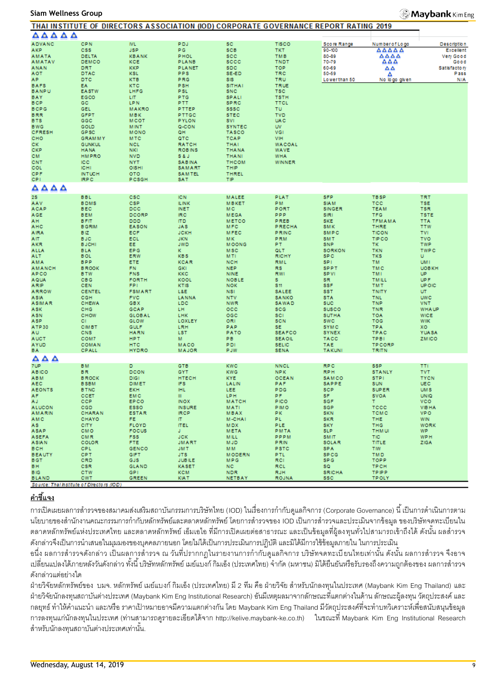#### **Siam Wellness Group**

#### **Maybank** Kim Eng

|                                           |                           | THAT INSTITUTE OF DIRECTORS ASSOCIATION (IOD) CORPORATE GOVERNANCE REPORT RATING 2019 |                              |                          |                      |                          |                          |                            |
|-------------------------------------------|---------------------------|---------------------------------------------------------------------------------------|------------------------------|--------------------------|----------------------|--------------------------|--------------------------|----------------------------|
| ΔΔΔΔΔ                                     |                           |                                                                                       |                              |                          |                      |                          |                          |                            |
| <b>ADVANC</b>                             | <b>CPN</b>                | <b>IVL</b>                                                                            | <b>PDJ</b>                   | <b>SC</b>                | <b>TISCO</b>         | Score Range              | Number of Logo           | <b>Description</b>         |
| AKP                                       | <b>CSS</b>                | <b>JSP</b>                                                                            | PG.                          | <b>SCB</b>               | TKT.                 | 90-100                   | AAAAA                    | Excellent                  |
| <b>AMATA</b>                              | DELTA                     | <b>KBANK</b>                                                                          | <b>PHOL</b>                  | <b>SCC</b>               | <b>TMB</b>           | 80-89                    | AAAA                     | Very Good                  |
| <b>AMATAV</b>                             | DEMCO                     | KCE                                                                                   | PLANB                        | sccc                     | <b>TNDT</b>          | 70-79                    | AΔA                      | Good                       |
| <b>ANAN</b>                               | DRT                       | <b>KKP</b>                                                                            | <b>PLANET</b>                | <b>SDC</b>               | <b>TOP</b>           | 60-69                    | ឹឹ                       | Satisfactory               |
| <b>AOT</b>                                | DTAC                      | <b>KSL</b>                                                                            | PPS                          | SE-ED                    | TRC                  | 50-59                    | Δ                        | Pass                       |
| AP.                                       | <b>DTC</b>                | <b>KTB</b>                                                                            | PRG                          | SIS                      | <b>TRU</b>           | Lowerthan 50             | No logo given            | N/A                        |
| <b>BAFS</b>                               | EA.                       | <b>KTC</b>                                                                            | <b>PSH</b>                   | <b>SITHAI</b>            | <b>TRUE</b>          |                          |                          |                            |
| <b>BANPU</b>                              | <b>EASTW</b>              | LHFG                                                                                  | <b>PSL</b>                   | <b>SNC</b>               | <b>TSC</b>           |                          |                          |                            |
| BAY                                       | EGCO                      | LIT.                                                                                  | <b>PTG</b>                   | <b>SPALI</b>             | <b>TSTH</b>          |                          |                          |                            |
| <b>BCP</b>                                | GC                        | <b>LPN</b>                                                                            | PTT.                         | <b>SPRC</b>              | <b>TTCL</b>          |                          |                          |                            |
| <b>BCPG</b>                               | GEL                       | <b>MAKRO</b>                                                                          | PTTEP                        | <b>SSSC</b>              | <b>TU</b>            |                          |                          |                            |
| <b>BRR</b>                                | <b>GFPT</b>               | <b>MBK</b>                                                                            | PTTGC                        | <b>STEC</b>              | <b>TVD</b>           |                          |                          |                            |
| <b>BTS</b>                                | GGC                       | <b>MCOT</b>                                                                           | <b>PYLON</b>                 | SVI.                     | <b>UAC</b>           |                          |                          |                            |
| <b>BWG</b>                                | GOLD                      | <b>MINT</b>                                                                           | Q-CON                        | <b>SYNTEC</b>            | <b>UV</b>            |                          |                          |                            |
| <b>CFRESH</b>                             | GP <sub>SC</sub>          | <b>MONO</b>                                                                           | QH.                          | <b>TASCO</b>             | VGI                  |                          |                          |                            |
| CHO                                       | <b>GRAMMY</b>             | <b>MTC</b>                                                                            | QTC                          | <b>TCAP</b>              | VIH                  |                          |                          |                            |
| CK.                                       | <b>GUNKUL</b>             | <b>NCL</b>                                                                            | <b>RATCH</b>                 | <b>THAI</b>              | <b>WACOAL</b>        |                          |                          |                            |
| CKP                                       | <b>HANA</b>               | <b>NKI</b>                                                                            | <b>ROBINS</b>                | <b>THANA</b>             | <b>WAVE</b>          |                          |                          |                            |
| CM.                                       | <b>HMPRO</b>              | <b>NVD</b>                                                                            | S&J                          | <b>THANI</b>             | <b>WHA</b>           |                          |                          |                            |
| CNT<br>COL                                | <b>ICC</b><br><b>ICHI</b> | <b>NYT</b><br>OISHI                                                                   | <b>SABINA</b>                | <b>THCOM</b><br>THIP     | WINNER               |                          |                          |                            |
| <b>CPF</b>                                | <b>INTUCH</b>             | <b>OTO</b>                                                                            | SAMART<br>SAMTEL             | THREL                    |                      |                          |                          |                            |
| CPI.                                      | <b>IRPC</b>               | PCSGH                                                                                 | SAT                          | ΤIΡ                      |                      |                          |                          |                            |
|                                           |                           |                                                                                       |                              |                          |                      |                          |                          |                            |
| $\triangle \triangle \triangle \triangle$ |                           |                                                                                       |                              |                          |                      |                          |                          |                            |
| 28                                        | <b>BBL</b>                | csc                                                                                   | <b>IC N</b>                  | <b>MALEE</b>             | PLAT                 | <b>SFP</b>               | <b>TBSP</b>              | <b>TRT</b>                 |
| AAV                                       | <b>BDMS</b>               | <b>CSP</b>                                                                            | <b>ILINK</b>                 | <b>MBKET</b>             | PM.                  | <b>SIAM</b>              | <b>TCC</b>               | <b>TSE</b>                 |
| ACAP                                      | <b>BEC</b>                | DCC                                                                                   | <b>INET</b>                  | M C                      | PORT                 | <b>SINGER</b>            | <b>TEAM</b>              | <b>TSR</b>                 |
| AGE                                       | <b>BEM</b>                | DCORP                                                                                 | IRC.                         | <b>MEGA</b>              | <b>PPP</b>           | SIRI                     | <b>TFG</b>               | <b>TSTE</b>                |
| AH.                                       | <b>BFIT</b>               | <b>DDD</b>                                                                            | <b>ITD</b>                   | <b>METCO</b>             | PREB                 | <b>SKE</b>               | <b>TFMAMA</b>            | <b>TTA</b>                 |
| AHC                                       | <b>B GRIM</b>             | <b>EASON</b>                                                                          | <b>JAS</b>                   | MFC                      | <b>PRECHA</b>        | <b>SMK</b>               | <b>THRE</b>              | <b>TTW</b>                 |
| <b>AIRA</b>                               | BIZ.                      | <b>ECF</b>                                                                            | <b>JCKH</b>                  | <b>MFEC</b>              | PRINC                | SMPC                     | <b>TICON</b>             | <b>TVI</b>                 |
| AIT.                                      | <b>BJC</b>                | ECL                                                                                   | <b>JKN</b>                   | MK.                      | <b>PRM</b>           | <b>SMT</b>               | <b>TIPCO</b>             | <b>TVO</b>                 |
| AKR                                       | <b>BJCHI</b>              | EE.                                                                                   | <b>JWD</b>                   | <b>MOONG</b>             | PT.                  | <b>SNP</b>               | TK.                      | <b>TWP</b>                 |
| <b>ALLA</b>                               | <b>BLA</b><br><b>BOL</b>  | EP G<br>ERW                                                                           | ĸ.<br><b>KBS</b>             | <b>MSC</b><br><b>MTI</b> | QLT.<br><b>RICHY</b> | <b>SORKON</b><br>SP C    | <b>TKN</b><br><b>TKS</b> | <b>TWPC</b><br>U.          |
| ALT.                                      | <b>BPP</b>                |                                                                                       | <b>KCAR</b>                  | <b>NCH</b>               | <b>RML</b>           | SPI.                     | TM.                      | UM I                       |
| AMA                                       | <b>BROOK</b>              | ETE<br>FN.                                                                            | <b>GKI</b>                   | <b>NEP</b>               | <b>RS</b>            | <b>SPPT</b>              | <b>TMC</b>               | <b>UOBKH</b>               |
| <b>AMANCH</b><br><b>APCO</b>              | <b>BTW</b>                | <b>FNS</b>                                                                            | <b>KKC</b>                   | <b>NINE</b>              | <b>RWI</b>           | <b>SPVI</b>              | TMI.                     | UP.                        |
| <b>AQUA</b>                               | <b>CBG</b>                | <b>FORTH</b>                                                                          | KOOL                         | <b>NOBLE</b>             | s.                   | SR.                      | <b>TMILL</b>             | UP F                       |
| ARIP                                      | <b>CEN</b>                | FPI.                                                                                  | KTIS                         | <b>NOK</b>               | \$11                 | <b>SSF</b>               | <b>TMT</b>               | <b>UP OIC</b>              |
| <b>ARROW</b>                              | <b>CENTEL</b>             | <b>FSMART</b>                                                                         | L&E                          | <b>NSI</b>               | <b>SALEE</b>         | <b>SST</b>               | <b>TNITY</b>             | UT.                        |
| <b>ASIA</b>                               | CGH                       | <b>FVC</b>                                                                            | LANNA                        | <b>NTV</b>               | <b>SANKO</b>         | <b>STA</b>               | <b>TNL</b>               | <b>UWC</b>                 |
| <b>ASIMAR</b>                             | CHEWA                     | <b>GBX</b>                                                                            | <b>LDC</b>                   | <b>NWR</b>               | SAWAD                | <b>SUC</b>               | <b>TNP</b>               | <b>VNT</b>                 |
| ASK                                       | CHG                       | GCAP                                                                                  | LH                           | $_{\rm occ}$             | scc                  | <b>SUSCO</b>             | <b>TNR</b>               | <b>WHA UP</b>              |
| <b>ASN</b>                                | CHOW                      | <b>GLOBAL</b>                                                                         | <b>LHK</b>                   | OGC                      | <b>SCI</b>           | <b>SUTHA</b>             | <b>TOA</b>               | <b>WICE</b>                |
| ASP.                                      | CI.                       | GLOW                                                                                  | LOXLEY                       | ORI                      | <b>SCN</b>           | <b>SWC</b>               | TOG                      | <b>WIIK</b>                |
| ATP30                                     | <b>CIMBT</b>              | <b>GULF</b>                                                                           | LRH                          | PAP                      | SE.                  | <b>SYMC</b>              | <b>TPA</b>               | XO.                        |
| AU.                                       | CNS                       | <b>HARN</b>                                                                           | <b>LST</b>                   | PATO                     | <b>SEAFCO</b>        | <b>SYNEX</b>             | TPAC                     | <b>YUASA</b>               |
| <b>AUCT</b>                               | COM7                      | <b>HPT</b>                                                                            | м                            | PB                       | <b>SEAOIL</b>        | <b>TACC</b>              | <b>TPBI</b>              | <b>ZMICO</b>               |
| <b>AYUD</b>                               | <b>COMAN</b>              | <b>HTC</b>                                                                            | MACO                         | PDI                      | <b>SELIC</b>         | <b>TAE</b>               | <b>TPCORP</b>            |                            |
| BA.                                       | <b>CPALL</b>              | <b>HYDRO</b>                                                                          | <b>MAJOR</b>                 | <b>PJW</b>               | <b>SENA</b>          | <b>TAKUNI</b>            | TRITN                    |                            |
| $\triangle$ $\triangle$ $\triangle$       |                           |                                                                                       |                              |                          |                      |                          |                          |                            |
| 7UP.                                      | <b>BM</b>                 | D.                                                                                    | <b>GTB</b>                   | <b>KWC</b>               | <b>NNCL</b>          | <b>RPC</b>               | <b>SSP</b>               | <b>TTI</b>                 |
| <b>ABICO</b>                              | <b>BR</b>                 | <b>DCON</b>                                                                           | <b>GYT</b>                   | <b>KWG</b>               | NPK.                 | <b>RPH</b>               | <b>STANLY</b>            | <b>TVT</b>                 |
| <b>ABM</b>                                | <b>BROCK</b>              | <b>DIGI</b>                                                                           | <b>HTECH</b>                 | <b>KYE</b>               | <b>OCEAN</b>         | SAMCO                    | <b>STPI</b>              | <b>TYCN</b>                |
| AEC                                       | <b>BSBM</b>               | <b>DIMET</b>                                                                          | IFS.                         | LALIN                    | PAF                  | SAPPE                    | SUN                      | UEC                        |
| <b>AEONTS</b>                             | <b>B TNC</b>              | <b>EKH</b>                                                                            | <b>IHL</b>                   | LEE                      | <b>PDG</b>           | <b>SCP</b>               | <b>SUPER</b>             | <b>UMS</b>                 |
| AF.                                       | CCET                      | EMC                                                                                   | ш                            | LPH                      | PF.                  | SF.                      | SVOA                     | <b>UNIO</b>                |
| AJ.                                       | <b>CCP</b>                | EP CO                                                                                 | INOX                         | <b>MATCH</b>             | <b>PICO</b>          | sgF                      | Τ.                       | <b>VCO</b>                 |
| <b>ALUCON</b><br><b>AMARIN</b>            | <b>CGD</b><br>CHARAN      | <b>ESSO</b><br><b>ESTAR</b>                                                           | <b>INSURE</b><br><b>IRCP</b> | MATI<br><b>MBAX</b>      | <b>PIMO</b><br>PK.   | <b>SGP</b><br><b>SKN</b> | TCCC<br><b>TCMC</b>      | <b>VIBHA</b><br><b>VPO</b> |
| <b>AMC</b>                                | <b>CHAYO</b>              | FE.                                                                                   | IT.                          | <b>M-CHAI</b>            | PL.                  | <b>SKR</b>               | THE.                     | <b>WIN</b>                 |
| AS.                                       | <b>CITY</b>               | <b>FLOYD</b>                                                                          | <b>ITEL</b>                  | <b>MDX</b>               | PLE.                 | <b>SKY</b>               | <b>THG</b>               | <b>WORK</b>                |
| ASAP                                      | <b>CMO</b>                | <b>FOCUS</b>                                                                          | J.                           | <b>META</b>              | <b>PMTA</b>          | SLP.                     | <b>THM UI</b>            | WP.                        |
| <b>ASEFA</b>                              | CMR                       | FSS.                                                                                  | <b>JCK</b>                   | <b>MILL</b>              | PPPM                 | <b>SMIT</b>              | <b>TIC</b>               | <b>WPH</b>                 |
| <b>ASIAN</b>                              | COLOR                     | FTE.                                                                                  | <b>JMART</b>                 | <b>MJD</b>               | <b>PRIN</b>          | SOLAR                    | TITLE                    | ZIGA                       |
| <b>BCH</b>                                | CPL.                      | <b>GENCO</b>                                                                          | JM T                         | MM.                      | PSTC                 | SPA                      | <b>TIW</b>               |                            |
| <b>BEAUTY</b>                             | <b>CPT</b>                | GIFT                                                                                  | JTS.                         | <b>MODERN</b>            | PTL.                 | <b>SPCG</b>              | <b>TMD</b>               |                            |
| BGT.                                      | CRD                       | GJS                                                                                   | <b>JUBILE</b>                | <b>MPG</b>               | RCI.                 | SP G                     | TOPP                     |                            |
| BH.                                       | <b>CSR</b>                | <b>GLAND</b>                                                                          | <b>KASET</b>                 | <b>NC</b>                | <b>RCL</b>           | SQ.                      | <b>TPCH</b>              |                            |
| <b>BIG</b>                                | <b>CTW</b>                | GP <sub>1</sub>                                                                       | <b>KCM</b>                   | <b>NDR</b>               | <b>RJH</b>           | <b>SRICHA</b>            | <b>TPIPP</b>             |                            |
| <b>BLAND</b>                              | <b>CWT</b>                | <b>GREEN</b>                                                                          | <b>KIAT</b>                  | <b>NETBAY</b>            | <b>ROJNA</b>         | ssc.                     | <b>TPOLY</b>             |                            |
| Source: Thal Institute of Directors (IOD) |                           |                                                                                       |                              |                          |                      |                          |                          |                            |

# **ค าชี้แจง**

การเปิดเผยผลการสำรวจของสมาคมส่งเสริมสถาบันกรรมการบริษัทไทย (IOD) ในเรื่องการกำกับดูแลกิจการ (Corporate Governance) นี้ เป็นการดำเนินการตาม นโยบายของสำนักงานคณะกรรมการกำกับหลักทรัพย์และตลาดหลักทรัพย์ โดยการสำรวจของ IOD เป็นการสำรวจและประเมินจากข้อมล ของบริษัทจดทะเบียนใน ้ตลาดหลักทรัพย์แห่งประเทศไทย และตลาดหลักทรัพย์ เอ็มเอไอ ที่มีการเปิดเผยต่อสาธารณะ และเป็นข้อมูลที่ผู้ลงทุนทั่วไปสามารถเข้าถึงได้ ดังนั้น ผลสำรวจ ดังกล่าวจึงเป็นการนำเสนอในมุมมองของบุคคลภายนอก โดยไม่ได้เป็นการประเมินการปฏิบัติ และมิได้มีการใช้ข้อมูลภายใน ในการประเมิน

่ อนึ่ง ผลการสำรวจดังกล่าว เป็นผลการสำรวจ ณ วันที่ปรากกฎในรายงานการกำกับดูแลกิจการ บริษัทจดทะเบียนไทยเท่านั้น ดังนั้น ผลการสำรวจ จึงอาจ ่ เปลี่ยนแปลงได้ภายหลังวันดังกล่าว ทั้งนี้ บริษัทหลักทรัพย์ เมย์แบงก์ กิมเอ็ง (ประเทศไทย) จำกัด (มหาชน) มิได้ยืนยันหรือรับรองถึงความถูกต้องของ ผลการสำรวจ ดังกล่าวแต่อย่างใด

้ ฝ่ายวิจัยหลักทรัพย์ของ บมจ. หลักทรัพย์ เมย์แบงก์ กิมเอ็ง (ประเทศไทย) มี 2 ทีม คือ ฝ่ายวิจัย สำหรับนักลงทุนในประเทศ (Maybank Kim Eng Thailand) และ ฝ่ ายวิจัยนักลงทุนสถาบันต่างประเทศ (Maybank Kim Eng Institutional Research) อันมีเหตุผลมาจากลักษณะที่แตกต่างในด้าน ลักษณะผู้ลงทุน วัตถุประสงค์ และ กลยุทธ์ ทำให้คำแนะนำ และ/หรือ ราคาเป้าหมายอาจมีความแตกต่างกัน โดย Maybank Kim Eng Thailand มีวัตถุประสงค์ที่จะทำบทวิเคราะห์เพื่อสนับสนุนข้อมูล การลงทุนแก่นักลงทุนในประเทศ (ท่านสามารถดูรายละเอียดได้จาก http://kelive.maybank-ke.co.th) ในขณะที่ Maybank Kim Eng Institutional Research สำหรับนักลงทุนสถาบันต่างประเทศเท่านั้น.